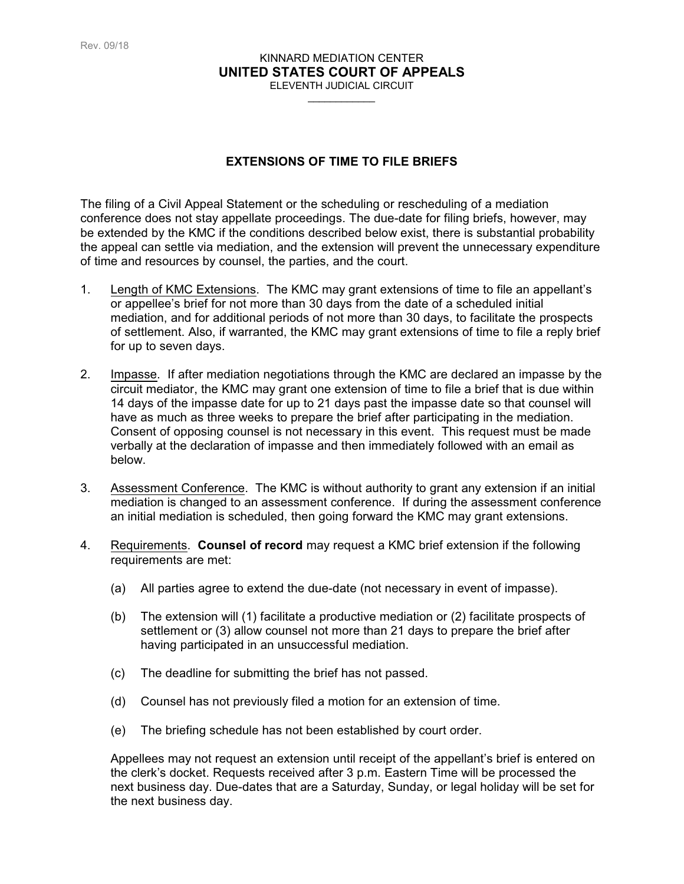## KINNARD MEDIATION CENTER **UNITED STATES COURT OF APPEALS** ELEVENTH JUDICIAL CIRCUIT

 $\overline{\phantom{a}}$ 

## **EXTENSIONS OF TIME TO FILE BRIEFS**

The filing of a Civil Appeal Statement or the scheduling or rescheduling of a mediation conference does not stay appellate proceedings. The due-date for filing briefs, however, may be extended by the KMC if the conditions described below exist, there is substantial probability the appeal can settle via mediation, and the extension will prevent the unnecessary expenditure of time and resources by counsel, the parties, and the court.

- 1. Length of KMC Extensions. The KMC may grant extensions of time to file an appellant's or appellee's brief for not more than 30 days from the date of a scheduled initial mediation, and for additional periods of not more than 30 days, to facilitate the prospects of settlement. Also, if warranted, the KMC may grant extensions of time to file a reply brief for up to seven days.
- 2. Impasse. If after mediation negotiations through the KMC are declared an impasse by the circuit mediator, the KMC may grant one extension of time to file a brief that is due within 14 days of the impasse date for up to 21 days past the impasse date so that counsel will have as much as three weeks to prepare the brief after participating in the mediation. Consent of opposing counsel is not necessary in this event. This request must be made verbally at the declaration of impasse and then immediately followed with an email as below.
- 3. Assessment Conference. The KMC is without authority to grant any extension if an initial mediation is changed to an assessment conference. If during the assessment conference an initial mediation is scheduled, then going forward the KMC may grant extensions.
- 4. Requirements. **Counsel of record** may request a KMC brief extension if the following requirements are met:
	- (a) All parties agree to extend the due-date (not necessary in event of impasse).
	- (b) The extension will (1) facilitate a productive mediation or (2) facilitate prospects of settlement or (3) allow counsel not more than 21 days to prepare the brief after having participated in an unsuccessful mediation.
	- (c) The deadline for submitting the brief has not passed.
	- (d) Counsel has not previously filed a motion for an extension of time.
	- (e) The briefing schedule has not been established by court order.

Appellees may not request an extension until receipt of the appellant's brief is entered on the clerk's docket. Requests received after 3 p.m. Eastern Time will be processed the next business day. Due-dates that are a Saturday, Sunday, or legal holiday will be set for the next business day.